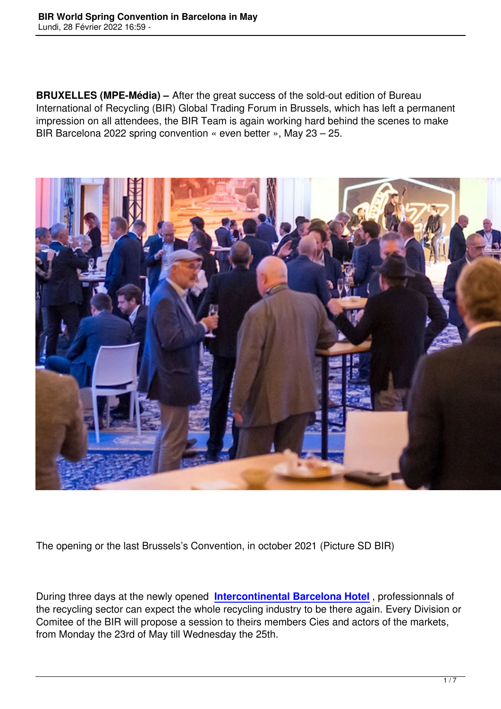**BRUXELLES (MPE-Média) –** After the great success of the sold-out edition of Bureau International of Recycling (BIR) Global Trading Forum in Brussels, which has left a permanent impression on all attendees, the BIR Team is again working hard behind the scenes to make BIR Barcelona 2022 spring convention « even better », May 23 – 25.



The opening or the last Brussels's Convention, in october 2021 (Picture SD BIR)

During three days at the newly opened **Intercontinental Barcelona Hotel** , professionnals of the recycling sector can expect the whole recycling industry to be there again. Every Division or Comitee of the BIR will propose a session to theirs members Cies and actors of the markets, from Monday the 23rd of May till Wedn[esday the 25th.](https://www.bir.org/bir-barcelona-2022/practical-info%22%20%5Ct%20%22_blank)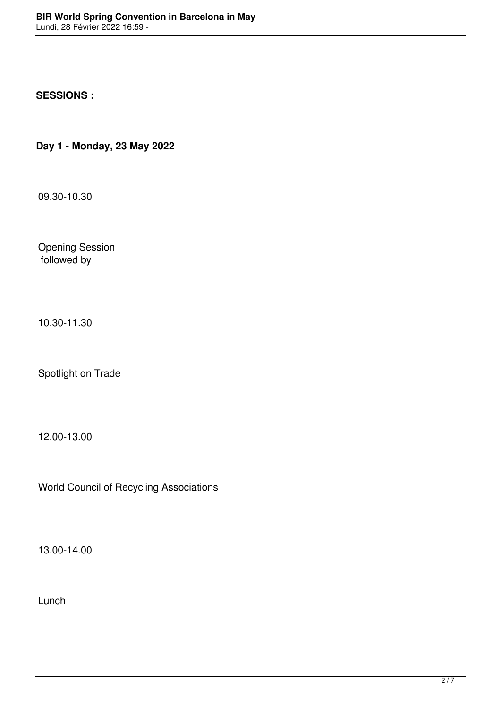## **SESSIONS :**

**Day 1 - Monday, 23 May 2022** 

09.30-10.30

Opening Session followed by

10.30-11.30

Spotlight on Trade

12.00-13.00

World Council of Recycling Associations

13.00-14.00

Lunch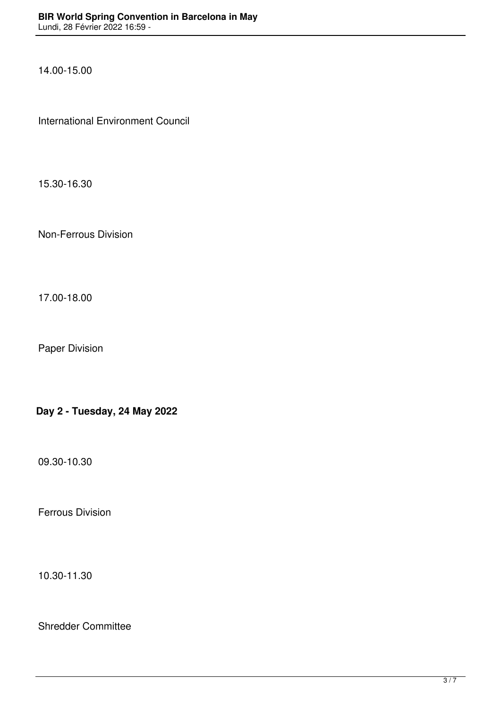14.00-15.00

International Environment Council

15.30-16.30

Non-Ferrous Division

17.00-18.00

Paper Division

**Day 2 - Tuesday, 24 May 2022** 

09.30-10.30

Ferrous Division

10.30-11.30

Shredder Committee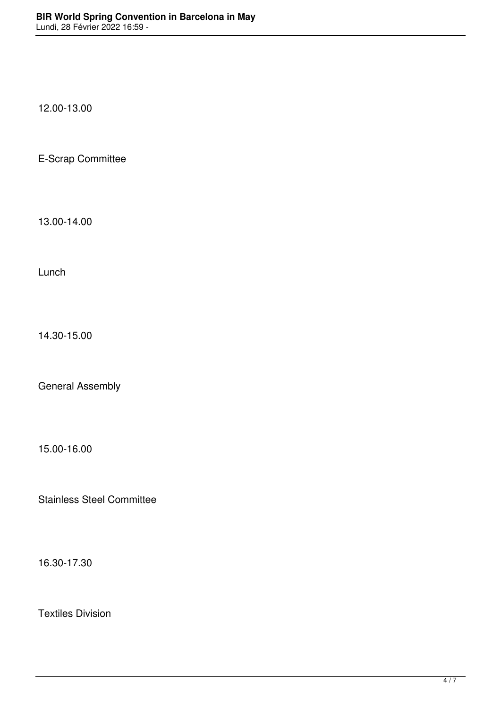12.00-13.00

E-Scrap Committee

13.00-14.00

Lunch

14.30-15.00

General Assembly

15.00-16.00

Stainless Steel Committee

16.30-17.30

Textiles Division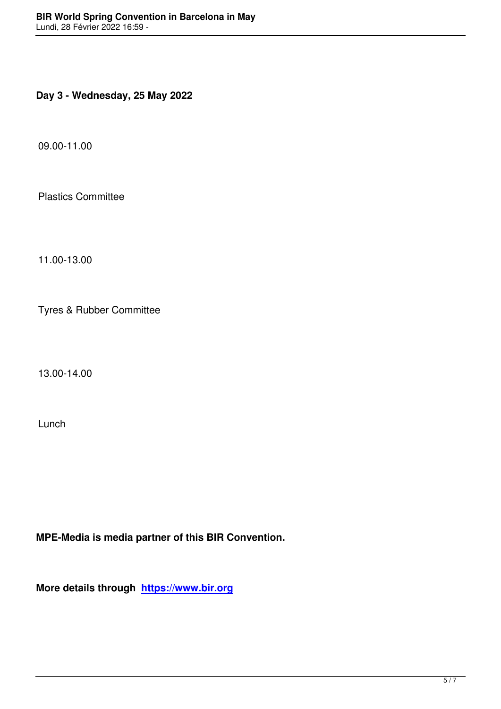**Day 3 - Wednesday, 25 May 2022** 

09.00-11.00

Plastics Committee

11.00-13.00

Tyres & Rubber Committee

13.00-14.00

Lunch

**MPE-Media is media partner of this BIR Convention.**

**More details through https://www.bir.org**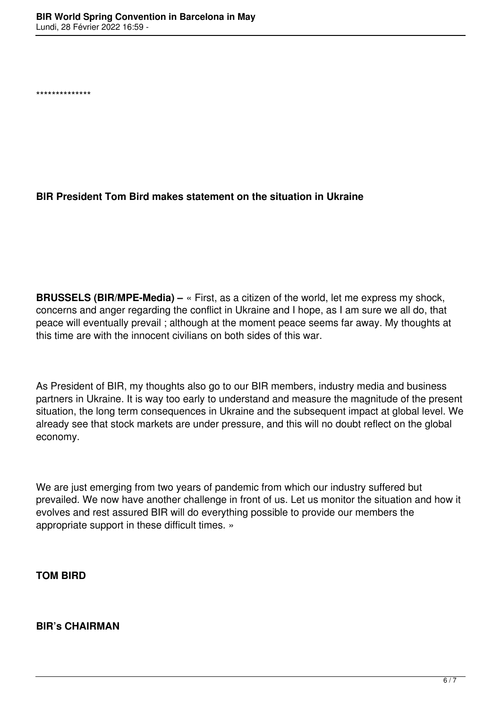\*\*\*\*\*\*\*\*\*\*\*\*\*\*

## **BIR President Tom Bird makes statement on the situation in Ukraine**

**BRUSSELS (BIR/MPE-Media) –** « First, as a citizen of the world, let me express my shock, concerns and anger regarding the conflict in Ukraine and I hope, as I am sure we all do, that peace will eventually prevail ; although at the moment peace seems far away. My thoughts at this time are with the innocent civilians on both sides of this war.

As President of BIR, my thoughts also go to our BIR members, industry media and business partners in Ukraine. It is way too early to understand and measure the magnitude of the present situation, the long term consequences in Ukraine and the subsequent impact at global level. We already see that stock markets are under pressure, and this will no doubt reflect on the global economy.

We are just emerging from two years of pandemic from which our industry suffered but prevailed. We now have another challenge in front of us. Let us monitor the situation and how it evolves and rest assured BIR will do everything possible to provide our members the appropriate support in these difficult times. »

**TOM BIRD**

**BIR's CHAIRMAN**